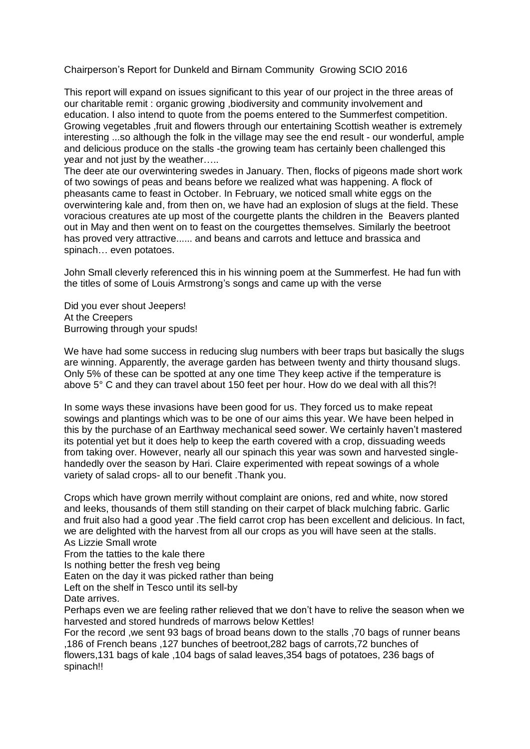Chairperson's Report for Dunkeld and Birnam Community Growing SCIO 2016

This report will expand on issues significant to this year of our project in the three areas of our charitable remit : organic growing ,biodiversity and community involvement and education. I also intend to quote from the poems entered to the Summerfest competition. Growing vegetables ,fruit and flowers through our entertaining Scottish weather is extremely interesting ...so although the folk in the village may see the end result - our wonderful, ample and delicious produce on the stalls -the growing team has certainly been challenged this year and not just by the weather…..

The deer ate our overwintering swedes in January. Then, flocks of pigeons made short work of two sowings of peas and beans before we realized what was happening. A flock of pheasants came to feast in October. In February, we noticed small white eggs on the overwintering kale and, from then on, we have had an explosion of slugs at the field. These voracious creatures ate up most of the courgette plants the children in the Beavers planted out in May and then went on to feast on the courgettes themselves. Similarly the beetroot has proved very attractive...... and beans and carrots and lettuce and brassica and spinach… even potatoes.

John Small cleverly referenced this in his winning poem at the Summerfest. He had fun with the titles of some of Louis Armstrong's songs and came up with the verse

Did you ever shout Jeepers! At the Creepers Burrowing through your spuds!

We have had some success in reducing slug numbers with beer traps but basically the slugs are winning. Apparently, the average garden has between twenty and thirty thousand slugs. Only 5% of these can be spotted at any one time They keep active if the temperature is above 5° C and they can travel about 150 feet per hour. How do we deal with all this?!

In some ways these invasions have been good for us. They forced us to make repeat sowings and plantings which was to be one of our aims this year. We have been helped in this by the purchase of an Earthway mechanical seed sower. We certainly haven't mastered its potential yet but it does help to keep the earth covered with a crop, dissuading weeds from taking over. However, nearly all our spinach this year was sown and harvested singlehandedly over the season by Hari. Claire experimented with repeat sowings of a whole variety of salad crops- all to our benefit .Thank you.

Crops which have grown merrily without complaint are onions, red and white, now stored and leeks, thousands of them still standing on their carpet of black mulching fabric. Garlic and fruit also had a good year .The field carrot crop has been excellent and delicious. In fact, we are delighted with the harvest from all our crops as you will have seen at the stalls. As Lizzie Small wrote

From the tatties to the kale there

Is nothing better the fresh veg being

Eaten on the day it was picked rather than being

Left on the shelf in Tesco until its sell-by

Date arrives.

Perhaps even we are feeling rather relieved that we don't have to relive the season when we harvested and stored hundreds of marrows below Kettles!

For the record ,we sent 93 bags of broad beans down to the stalls ,70 bags of runner beans ,186 of French beans ,127 bunches of beetroot,282 bags of carrots,72 bunches of flowers,131 bags of kale ,104 bags of salad leaves,354 bags of potatoes, 236 bags of spinach!!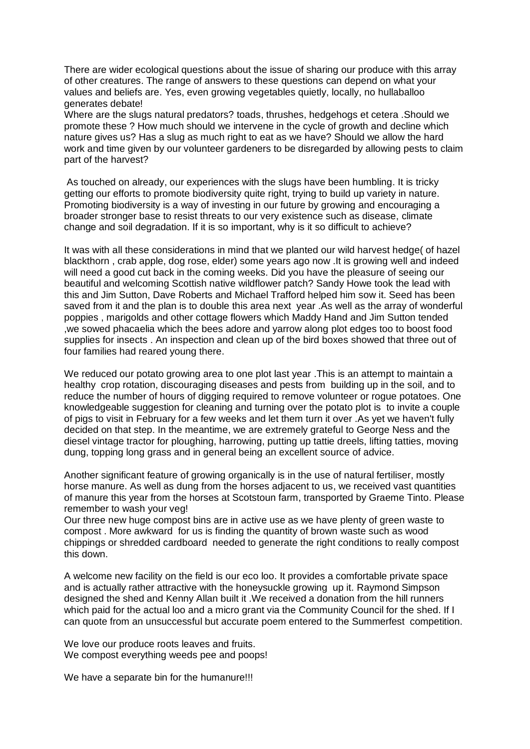There are wider ecological questions about the issue of sharing our produce with this array of other creatures. The range of answers to these questions can depend on what your values and beliefs are. Yes, even growing vegetables quietly, locally, no hullaballoo generates debate!

Where are the slugs natural predators? toads, thrushes, hedgehogs et cetera .Should we promote these ? How much should we intervene in the cycle of growth and decline which nature gives us? Has a slug as much right to eat as we have? Should we allow the hard work and time given by our volunteer gardeners to be disregarded by allowing pests to claim part of the harvest?

As touched on already, our experiences with the slugs have been humbling. It is tricky getting our efforts to promote biodiversity quite right, trying to build up variety in nature. Promoting biodiversity is a way of investing in our future by growing and encouraging a broader stronger base to resist threats to our very existence such as disease, climate change and soil degradation. If it is so important, why is it so difficult to achieve?

It was with all these considerations in mind that we planted our wild harvest hedge( of hazel blackthorn , crab apple, dog rose, elder) some years ago now .It is growing well and indeed will need a good cut back in the coming weeks. Did you have the pleasure of seeing our beautiful and welcoming Scottish native wildflower patch? Sandy Howe took the lead with this and Jim Sutton, Dave Roberts and Michael Trafford helped him sow it. Seed has been saved from it and the plan is to double this area next year .As well as the array of wonderful poppies , marigolds and other cottage flowers which Maddy Hand and Jim Sutton tended ,we sowed phacaelia which the bees adore and yarrow along plot edges too to boost food supplies for insects . An inspection and clean up of the bird boxes showed that three out of four families had reared young there.

We reduced our potato growing area to one plot last year .This is an attempt to maintain a healthy crop rotation, discouraging diseases and pests from building up in the soil, and to reduce the number of hours of digging required to remove volunteer or rogue potatoes. One knowledgeable suggestion for cleaning and turning over the potato plot is to invite a couple of pigs to visit in February for a few weeks and let them turn it over .As yet we haven't fully decided on that step. In the meantime, we are extremely grateful to George Ness and the diesel vintage tractor for ploughing, harrowing, putting up tattie dreels, lifting tatties, moving dung, topping long grass and in general being an excellent source of advice.

Another significant feature of growing organically is in the use of natural fertiliser, mostly horse manure. As well as dung from the horses adjacent to us, we received vast quantities of manure this year from the horses at Scotstoun farm, transported by Graeme Tinto. Please remember to wash your veg!

Our three new huge compost bins are in active use as we have plenty of green waste to compost . More awkward for us is finding the quantity of brown waste such as wood chippings or shredded cardboard needed to generate the right conditions to really compost this down.

A welcome new facility on the field is our eco loo. It provides a comfortable private space and is actually rather attractive with the honeysuckle growing up it. Raymond Simpson designed the shed and Kenny Allan built it .We received a donation from the hill runners which paid for the actual loo and a micro grant via the Community Council for the shed. If I can quote from an unsuccessful but accurate poem entered to the Summerfest competition.

We love our produce roots leaves and fruits. We compost everything weeds pee and poops!

We have a separate bin for the humanure!!!